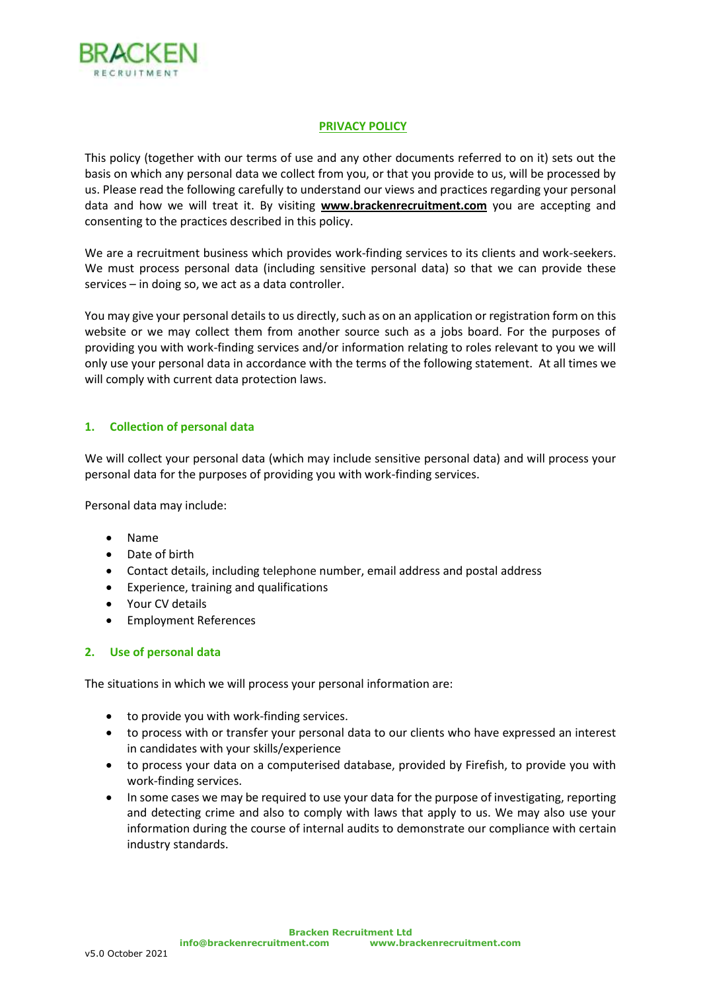

#### **PRIVACY POLICY**

This policy (together with our terms of use and any other documents referred to on it) sets out the basis on which any personal data we collect from you, or that you provide to us, will be processed by us. Please read the following carefully to understand our views and practices regarding your personal data and how we will treat it. By visiting **www.brackenrecruitment.com** you are accepting and consenting to the practices described in this policy.

We are a recruitment business which provides work-finding services to its clients and work-seekers. We must process personal data (including sensitive personal data) so that we can provide these services – in doing so, we act as a data controller.

You may give your personal details to us directly, such as on an application or registration form on this website or we may collect them from another source such as a jobs board. For the purposes of providing you with work-finding services and/or information relating to roles relevant to you we will only use your personal data in accordance with the terms of the following statement. At all times we will comply with current data protection laws.

# **1. Collection of personal data**

We will collect your personal data (which may include sensitive personal data) and will process your personal data for the purposes of providing you with work-finding services.

Personal data may include:

- Name
- Date of birth
- Contact details, including telephone number, email address and postal address
- Experience, training and qualifications
- Your CV details
- Employment References

### **2. Use of personal data**

The situations in which we will process your personal information are:

- to provide you with work-finding services.
- to process with or transfer your personal data to our clients who have expressed an interest in candidates with your skills/experience
- to process your data on a computerised database, provided by Firefish, to provide you with work-finding services.
- In some cases we may be required to use your data for the purpose of investigating, reporting and detecting crime and also to comply with laws that apply to us. We may also use your information during the course of internal audits to demonstrate our compliance with certain industry standards.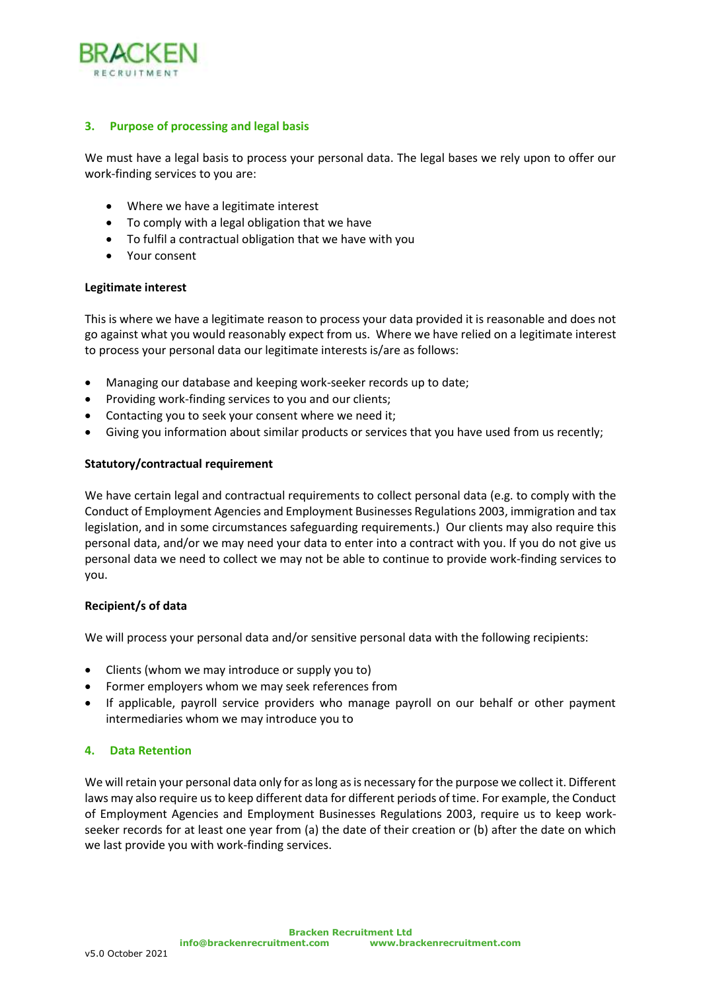

# **3. Purpose of processing and legal basis**

We must have a legal basis to process your personal data. The legal bases we rely upon to offer our work-finding services to you are:

- Where we have a legitimate interest
- To comply with a legal obligation that we have
- To fulfil a contractual obligation that we have with you
- Your consent

### **Legitimate interest**

This is where we have a legitimate reason to process your data provided it is reasonable and does not go against what you would reasonably expect from us. Where we have relied on a legitimate interest to process your personal data our legitimate interests is/are as follows:

- Managing our database and keeping work-seeker records up to date;
- Providing work-finding services to you and our clients;
- Contacting you to seek your consent where we need it;
- Giving you information about similar products or services that you have used from us recently;

### **Statutory/contractual requirement**

We have certain legal and contractual requirements to collect personal data (e.g. to comply with the Conduct of Employment Agencies and Employment Businesses Regulations 2003, immigration and tax legislation, and in some circumstances safeguarding requirements.) Our clients may also require this personal data, and/or we may need your data to enter into a contract with you. If you do not give us personal data we need to collect we may not be able to continue to provide work-finding services to you.

### **Recipient/s of data**

We will process your personal data and/or sensitive personal data with the following recipients:

- Clients (whom we may introduce or supply you to)
- Former employers whom we may seek references from
- If applicable, payroll service providers who manage payroll on our behalf or other payment intermediaries whom we may introduce you to

### **4. Data Retention**

We will retain your personal data only for as long as is necessary for the purpose we collect it. Different laws may also require us to keep different data for different periods of time. For example, the Conduct of Employment Agencies and Employment Businesses Regulations 2003, require us to keep workseeker records for at least one year from (a) the date of their creation or (b) after the date on which we last provide you with work-finding services.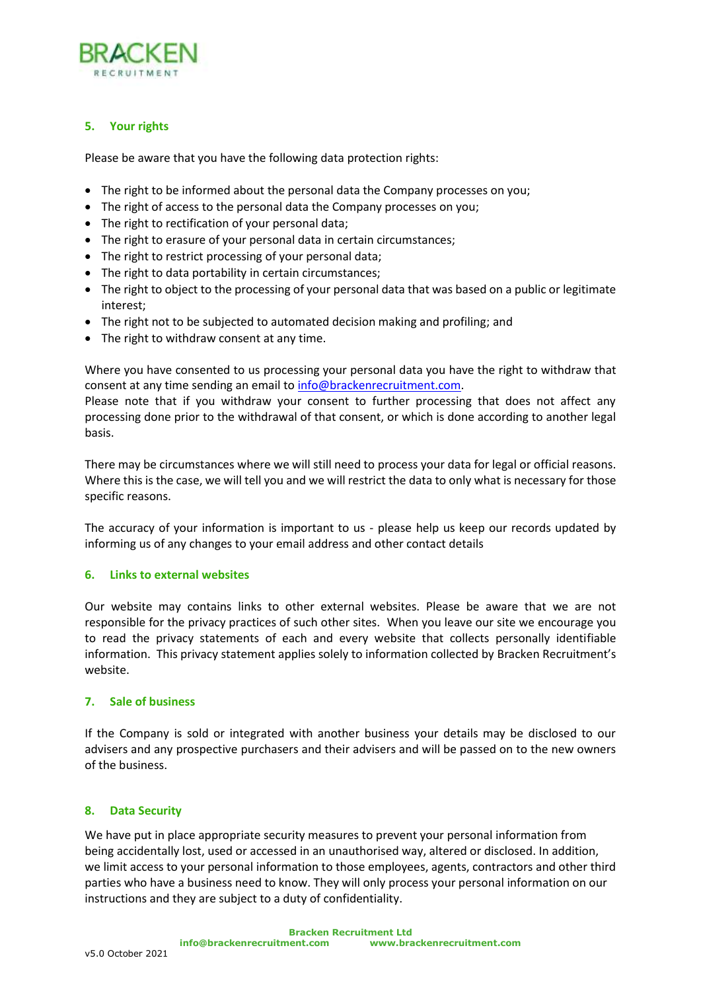

# **5. Your rights**

Please be aware that you have the following data protection rights:

- The right to be informed about the personal data the Company processes on you;
- The right of access to the personal data the Company processes on you;
- The right to rectification of your personal data;
- The right to erasure of your personal data in certain circumstances;
- The right to restrict processing of your personal data;
- The right to data portability in certain circumstances;
- The right to object to the processing of your personal data that was based on a public or legitimate interest;
- The right not to be subjected to automated decision making and profiling; and
- The right to withdraw consent at any time.

Where you have consented to us processing your personal data you have the right to withdraw that consent at any time sending an email t[o info@brackenrecruitment.com.](mailto:info@brackenrecruitment.com)

Please note that if you withdraw your consent to further processing that does not affect any processing done prior to the withdrawal of that consent, or which is done according to another legal basis.

There may be circumstances where we will still need to process your data for legal or official reasons. Where this is the case, we will tell you and we will restrict the data to only what is necessary for those specific reasons.

The accuracy of your information is important to us - please help us keep our records updated by informing us of any changes to your email address and other contact details

### **6. Links to external websites**

Our website may contains links to other external websites. Please be aware that we are not responsible for the privacy practices of such other sites. When you leave our site we encourage you to read the privacy statements of each and every website that collects personally identifiable information. This privacy statement applies solely to information collected by Bracken Recruitment's website.

# **7. Sale of business**

If the Company is sold or integrated with another business your details may be disclosed to our advisers and any prospective purchasers and their advisers and will be passed on to the new owners of the business.

### **8. Data Security**

We have put in place appropriate security measures to prevent your personal information from being accidentally lost, used or accessed in an unauthorised way, altered or disclosed. In addition, we limit access to your personal information to those employees, agents, contractors and other third parties who have a business need to know. They will only process your personal information on our instructions and they are subject to a duty of confidentiality.